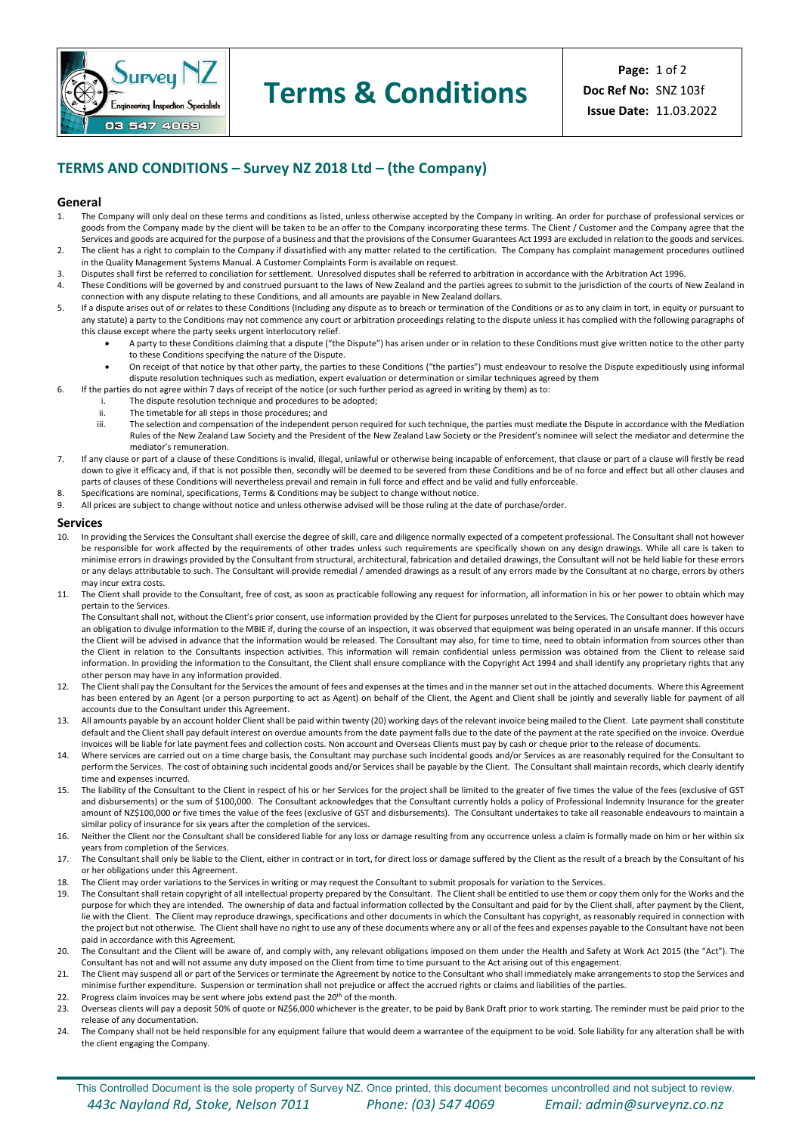

## **Terms & Conditions**

### **TERMS AND CONDITIONS – Survey NZ 2018 Ltd – (the Company)**

### **General**<br>**1.** The C

- The Company will only deal on these terms and conditions as listed, unless otherwise accepted by the Company in writing. An order for purchase of professional services or goods from the Company made by the client will be taken to be an offer to the Company incorporating these terms. The Client / Customer and the Company agree that the Services and goods are acquired for the purpose of a business and that the provisions of the Consumer Guarantees Act 1993 are excluded in relation to the goods and services.
- 2. The client has a right to complain to the Company if dissatisfied with any matter related to the certification. The Company has complaint management procedures outlined in the Quality Management Systems Manual. A Customer Complaints Form is available on request.
- 3. Disputes shall first be referred to conciliation for settlement. Unresolved disputes shall be referred to arbitration in accordance with the Arbitration Act 1996.
- 4. These Conditions will be governed by and construed pursuant to the laws of New Zealand and the parties agrees to submit to the jurisdiction of the courts of New Zealand in connection with any dispute relating to these Conditions, and all amounts are payable in New Zealand dollars.
- 5. If a dispute arises out of or relates to these Conditions (Including any dispute as to breach or termination of the Conditions or as to any claim in tort, in equity or pursuant to any statute) a party to the Conditions may not commence any court or arbitration proceedings relating to the dispute unless it has complied with the following paragraphs of this clause except where the party seeks urgent interlocutory relief.
	- A party to these Conditions claiming that a dispute ("the Dispute") has arisen under or in relation to these Conditions must give written notice to the other party to these Conditions specifying the nature of the Dispute.
	- On receipt of that notice by that other party, the parties to these Conditions ("the parties") must endeavour to resolve the Dispute expeditiously using informal dispute resolution techniques such as mediation, expert evaluation or determination or similar techniques agreed by them
- 6. If the parties do not agree within 7 days of receipt of the notice (or such further period as agreed in writing by them) as to:
	- i. The dispute resolution technique and procedures to be adopted;
	-
	- ii. The timetable for all steps in those procedures; and<br>iii The selection and compensation of the independent The selection and compensation of the independent person required for such technique, the parties must mediate the Dispute in accordance with the Mediation Rules of the New Zealand Law Society and the President of the New Zealand Law Society or the President's nominee will select the mediator and determine the mediator's remuneration.
- 7. If any clause or part of a clause of these Conditions is invalid, illegal, unlawful or otherwise being incapable of enforcement, that clause or part of a clause will firstly be read down to give it efficacy and, if that is not possible then, secondly will be deemed to be severed from these Conditions and be of no force and effect but all other clauses and parts of clauses of these Conditions will nevertheless prevail and remain in full force and effect and be valid and fully enforceable.
- 8. Specifications are nominal, specifications, Terms & Conditions may be subject to change without notice.<br>8. All prices are subject to change without notice and unless otherwise advised will be those ruling at the d
- All prices are subject to change without notice and unless otherwise advised will be those ruling at the date of purchase/order.

#### **Services**

- 10. In providing the Services the Consultant shall exercise the degree of skill, care and diligence normally expected of a competent professional. The Consultant shall not however be responsible for work affected by the requirements of other trades unless such requirements are specifically shown on any design drawings. While all care is taken to minimise errors in drawings provided by the Consultant from structural, architectural, fabrication and detailed drawings, the Consultant will not be held liable for these errors or any delays attributable to such. The Consultant will provide remedial / amended drawings as a result of any errors made by the Consultant at no charge, errors by others may incur extra costs.
- 11. The Client shall provide to the Consultant, free of cost, as soon as practicable following any request for information, all information in his or her power to obtain which may pertain to the Services.

The Consultant shall not, without the Client's prior consent, use information provided by the Client for purposes unrelated to the Services. The Consultant does however have an obligation to divulge information to the MBIE if, during the course of an inspection, it was observed that equipment was being operated in an unsafe manner. If this occurs the Client will be advised in advance that the information would be released. The Consultant may also, for time to time, need to obtain information from sources other than the Client in relation to the Consultants inspection activities. This information will remain confidential unless permission was obtained from the Client to release said information. In providing the information to the Consultant, the Client shall ensure compliance with the Copyright Act 1994 and shall identify any proprietary rights that any other person may have in any information provided.

- 12. The Client shall pay the Consultant for the Services the amount of fees and expenses at the times and in the manner set out in the attached documents. Where this Agreement has been entered by an Agent (or a person purporting to act as Agent) on behalf of the Client, the Agent and Client shall be jointly and severally liable for payment of all accounts due to the Consultant under this Agreement.
- 13. All amounts payable by an account holder Client shall be paid within twenty (20) working days of the relevant invoice being mailed to the Client. Late payment shall constitute default and the Client shall pay default interest on overdue amounts from the date payment falls due to the date of the payment at the rate specified on the invoice. Overdue invoices will be liable for late payment fees and collection costs. Non account and Overseas Clients must pay by cash or cheque prior to the release of documents.
- 14. Where services are carried out on a time charge basis, the Consultant may purchase such incidental goods and/or Services as are reasonably required for the Consultant to perform the Services. The cost of obtaining such incidental goods and/or Services shall be payable by the Client. The Consultant shall maintain records, which clearly identify time and expenses incurred.
- 15. The liability of the Consultant to the Client in respect of his or her Services for the project shall be limited to the greater of five times the value of the fees (exclusive of GST and disbursements) or the sum of \$100,000. The Consultant acknowledges that the Consultant currently holds a policy of Professional Indemnity Insurance for the greater amount of NZ\$100,000 or five times the value of the fees (exclusive of GST and disbursements). The Consultant undertakes to take all reasonable endeavours to maintain a similar policy of insurance for six years after the completion of the services.
- 16. Neither the Client nor the Consultant shall be considered liable for any loss or damage resulting from any occurrence unless a claim is formally made on him or her within six years from completion of the Services.
- 17. The Consultant shall only be liable to the Client, either in contract or in tort, for direct loss or damage suffered by the Client as the result of a breach by the Consultant of his or her obligations under this Agreement.
- 18. The Client may order variations to the Services in writing or may request the Consultant to submit proposals for variation to the Services.
- 19. The Consultant shall retain copyright of all intellectual property prepared by the Consultant. The Client shall be entitled to use them or copy them only for the Works and the purpose for which they are intended. The ownership of data and factual information collected by the Consultant and paid for by the Client shall, after payment by the Client, lie with the Client. The Client may reproduce drawings, specifications and other documents in which the Consultant has copyright, as reasonably required in connection with the project but not otherwise. The Client shall have no right to use any of these documents where any or all of the fees and expenses payable to the Consultant have not been paid in accordance with this Agreement.
- 20. The Consultant and the Client will be aware of, and comply with, any relevant obligations imposed on them under the Health and Safety at Work Act 2015 (the "Act"). The Consultant has not and will not assume any duty imposed on the Client from time to time pursuant to the Act arising out of this engagement.
- 21. The Client may suspend all or part of the Services or terminate the Agreement by notice to the Consultant who shall immediately make arrangements to stop the Services and minimise further expenditure. Suspension or termination shall not prejudice or affect the accrued rights or claims and liabilities of the parties.
- 22. Progress claim invoices may be sent where jobs extend past the  $20<sup>th</sup>$  of the month.<br>23. Overseas clients will pay a deposit 50% of quote or NZ\$6,000 whichever is the grea
- 23. Overseas clients will pay a deposit 50% of quote or NZ\$6,000 whichever is the greater, to be paid by Bank Draft prior to work starting. The reminder must be paid prior to the release of any documentation.
- 24. The Company shall not be held responsible for any equipment failure that would deem a warrantee of the equipment to be void. Sole liability for any alteration shall be with the client engaging the Company.